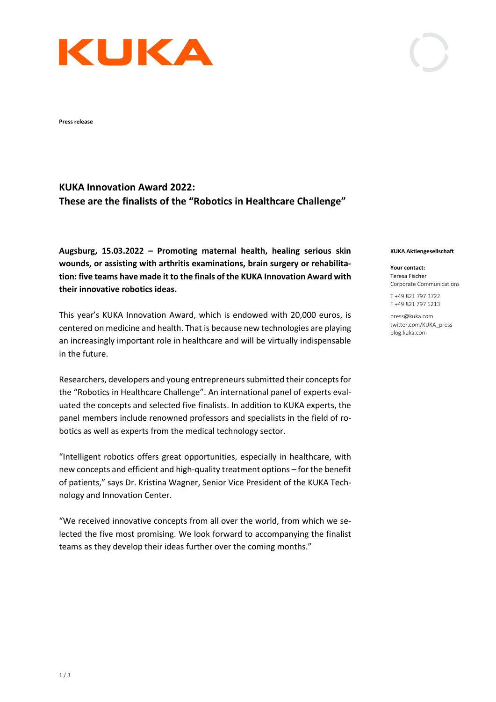

**Press release** 

# **KUKA Innovation Award 2022: These are the finalists of the "Robotics in Healthcare Challenge"**

**Augsburg, 15.03.2022 – Promoting maternal health, healing serious skin wounds, or assisting with arthritis examinations, brain surgery or rehabilitation: five teams have made it to the finals of the KUKA Innovation Award with their innovative robotics ideas.** 

This year's KUKA Innovation Award, which is endowed with 20,000 euros, is centered on medicine and health. That is because new technologies are playing an increasingly important role in healthcare and will be virtually indispensable in the future.

Researchers, developers and young entrepreneurs submitted their concepts for the "Robotics in Healthcare Challenge". An international panel of experts evaluated the concepts and selected five finalists. In addition to KUKA experts, the panel members include renowned professors and specialists in the field of robotics as well as experts from the medical technology sector.

"Intelligent robotics offers great opportunities, especially in healthcare, with new concepts and efficient and high-quality treatment options – for the benefit of patients," says Dr. Kristina Wagner, Senior Vice President of the KUKA Technology and Innovation Center.

"We received innovative concepts from all over the world, from which we selected the five most promising. We look forward to accompanying the finalist teams as they develop their ideas further over the coming months."

#### **KUKA Aktiengesellschaft**

**Your contact:** Teresa Fischer Corporate Communications

T +49 821 797 3722 F +49 821 797 5213

press@kuka.com twitter.com/KUKA\_press blog.kuka.com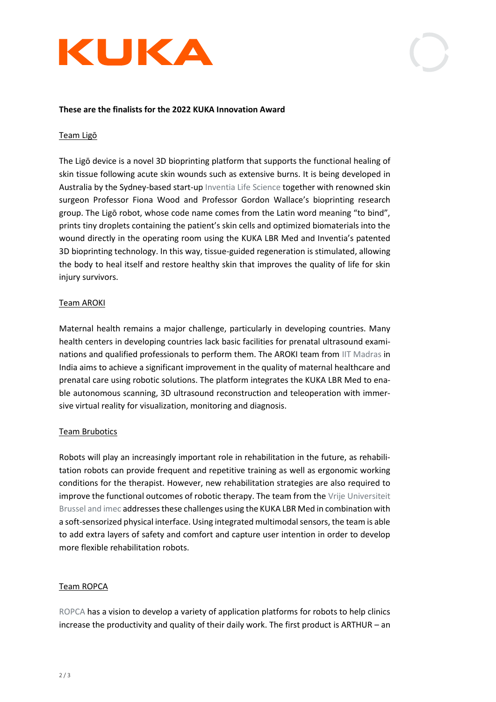



#### **These are the finalists for the 2022 KUKA Innovation Award**

#### Team Ligō

The Ligō device is a novel 3D bioprinting platform that supports the functional healing of skin tissue following acute skin wounds such as extensive burns. It is being developed in Australia by the Sydney-based start-up [Inventia Life Science](https://inventiaskin.com/) together with renowned skin surgeon Professor Fiona Wood and Professor Gordon Wallace's bioprinting research group. The Ligō robot, whose code name comes from the Latin word meaning "to bind", prints tiny droplets containing the patient's skin cells and optimized biomaterials into the wound directly in the operating room using the KUKA LBR Med and Inventia's patented 3D bioprinting technology. In this way, tissue-guided regeneration is stimulated, allowing the body to heal itself and restore healthy skin that improves the quality of life for skin injury survivors.

### Team AROKI

Maternal health remains a major challenge, particularly in developing countries. Many health centers in developing countries lack basic facilities for prenatal ultrasound examinations and qualified professionals to perform them. The AROKI team from [IIT Madras](https://www.iitm.ac.in/) in India aims to achieve a significant improvement in the quality of maternal healthcare and prenatal care using robotic solutions. The platform integrates the KUKA LBR Med to enable autonomous scanning, 3D ultrasound reconstruction and teleoperation with immersive virtual reality for visualization, monitoring and diagnosis.

#### Team Brubotics

Robots will play an increasingly important role in rehabilitation in the future, as rehabilitation robots can provide frequent and repetitive training as well as ergonomic working conditions for the therapist. However, new rehabilitation strategies are also required to improve the functional outcomes of robotic therapy. The team from th[e Vrije Universiteit](https://www.brubotics.eu/)  [Brussel and imec](https://www.brubotics.eu/) addresses these challenges using the KUKA LBR Med in combination with a soft-sensorized physical interface. Using integrated multimodal sensors, the team is able to add extra layers of safety and comfort and capture user intention in order to develop more flexible rehabilitation robots.

# Team ROPCA

[ROPCA](https://www.ropca.com/) has a vision to develop a variety of application platforms for robots to help clinics increase the productivity and quality of their daily work. The first product is ARTHUR – an